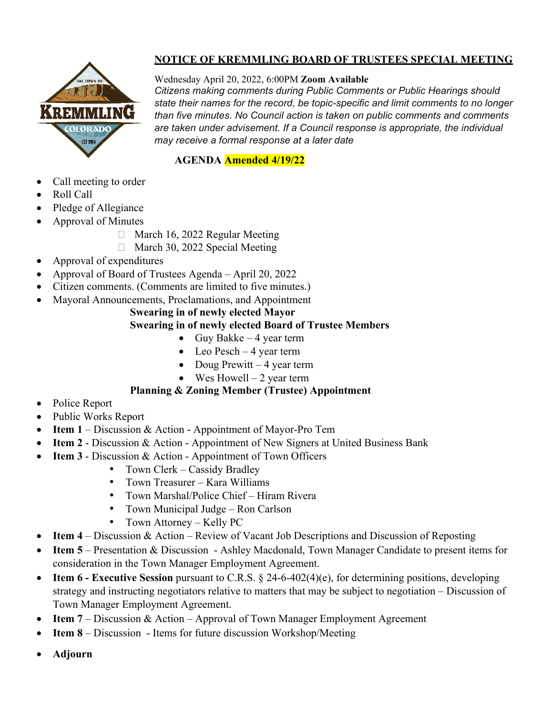

# **NOTICE OF KREMMLING BOARD OF TRUSTEES SPECIAL MEETING**

### Wednesday April 20, 2022, 6:00PM **Zoom Available**

*Citizens making comments during Public Comments or Public Hearings should state their names for the record, be topic-specific and limit comments to no longer than five minutes. No Council action is taken on public comments and comments are taken under advisement. If a Council response is appropriate, the individual may receive a formal response at a later date*

### **AGENDA Amended 4/19/22**

- Call meeting to order
- Roll Call
- Pledge of Allegiance
- Approval of Minutes
	- $\Box$  March 16, 2022 Regular Meeting
	- □ March 30, 2022 Special Meeting
- Approval of expenditures
- Approval of Board of Trustees Agenda April 20, 2022
- Citizen comments. (Comments are limited to five minutes.)
- Mayoral Announcements, Proclamations, and Appointment

#### **Swearing in of newly elected Mayor Swearing in of newly elected Board of Trustee Members**

- Guy Bakke  $-4$  year term
- Leo Pesch 4 year term
- Doug Prewitt 4 year term
- Wes Howell  $-2$  year term

## **Planning & Zoning Member (Trustee) Appointment**

- Police Report
- Public Works Report
- **Item 1** Discussion & Action Appointment of Mayor-Pro Tem
- **Item 2** Discussion & Action Appointment of New Signers at United Business Bank
- **Item 3** Discussion & Action Appointment of Town Officers
	- Town Clerk Cassidy Bradley
	- Town Treasurer Kara Williams
	- Town Marshal/Police Chief Hiram Rivera
	- Town Municipal Judge Ron Carlson
	- Town Attorney Kelly PC
- **Item 4** Discussion & Action Review of Vacant Job Descriptions and Discussion of Reposting
- **Item 5** Presentation & Discussion Ashley Macdonald, Town Manager Candidate to present items for consideration in the Town Manager Employment Agreement.
- **Item 6 - Executive Session** pursuant to C.R.S. § 24-6-402(4)(e), for determining positions, developing strategy and instructing negotiators relative to matters that may be subject to negotiation – Discussion of Town Manager Employment Agreement.
- **Item 7** Discussion & Action Approval of Town Manager Employment Agreement
- **Item 8** Discussion Items for future discussion Workshop/Meeting
- **Adjourn**